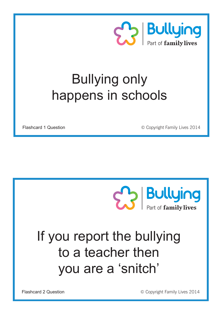

#### Bullying only happens in schools

Flashcard 1 Question **Development** C Copyright Family Lives 2014



## If you report the bullying to a teacher then you are a 'snitch'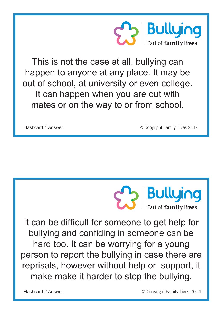

This is not the case at all, bullying can happen to anyone at any place. It may be out of school, at university or even college. It can happen when you are out with mates or on the way to or from school.

Flashcard 1 Answer **Example 2014** C Copyright Family Lives 2014



It can be difficult for someone to get help for bullying and confiding in someone can be hard too. It can be worrying for a young person to report the bullying in case there are reprisals, however without help or support, it make make it harder to stop the bullying.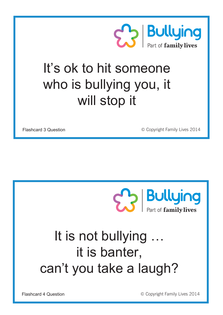

#### It's ok to hit someone who is bullying you, it will stop it

Flashcard 3 Question **Example 2014** C Copyright Family Lives 2014



## It is not bullying … it is banter, can't you take a laugh?

Flashcard 4 Question **Example 2014** C Copyright Family Lives 2014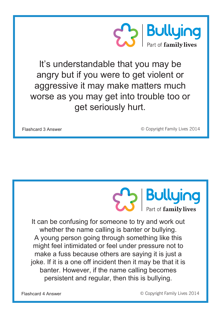

It's understandable that you may be angry but if you were to get violent or aggressive it may make matters much worse as you may get into trouble too or get seriously hurt.

Flashcard 3 Answer **Example 2014** C Copyright Family Lives 2014



It can be confusing for someone to try and work out whether the name calling is banter or bullying. A young person going through something like this might feel intimidated or feel under pressure not to make a fuss because others are saying it is just a joke. If it is a one off incident then it may be that it is banter. However, if the name calling becomes persistent and regular, then this is bullying.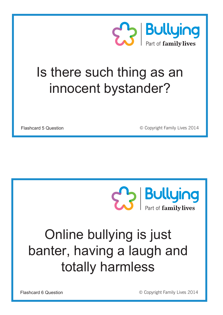

#### Is there such thing as an innocent bystander?

Flashcard 5 Question **Development** C Copyright Family Lives 2014



## Online bullying is just banter, having a laugh and totally harmless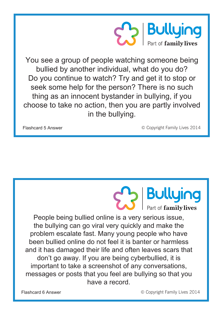

You see a group of people watching someone being bullied by another individual, what do you do? Do you continue to watch? Try and get it to stop or seek some help for the person? There is no such thing as an innocent bystander in bullying, if you choose to take no action, then you are partly involved in the bullying.

Flashcard 5 Answer **Example 2014** C Copyright Family Lives 2014

**Bullying**<br>Part of family lives

People being bullied online is a very serious issue, the bullying can go viral very quickly and make the problem escalate fast. Many young people who have been bullied online do not feel it is banter or harmless and it has damaged their life and often leaves scars that don't go away. If you are being cyberbullied, it is important to take a screenshot of any conversations, messages or posts that you feel are bullying so that you have a record.

Flashcard 6 Answer **Example 2014** C Copyright Family Lives 2014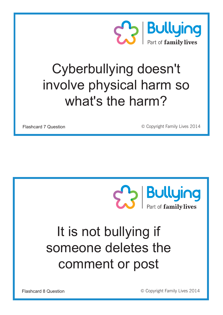

### Cyberbullying doesn't involve physical harm so what's the harm?

Flashcard 7 Question **Development** C Copyright Family Lives 2014



## It is not bullying if someone deletes the comment or post

Flashcard 8 Question **Development** C Copyright Family Lives 2014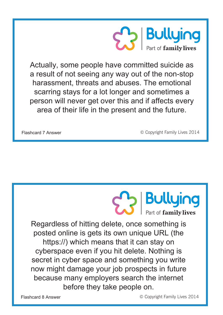

Actually, some people have committed suicide as a result of not seeing any way out of the non-stop harassment, threats and abuses. The emotional scarring stays for a lot longer and sometimes a person will never get over this and if affects every area of their life in the present and the future.

Flashcard 7 Answer **Example 2014** C Copyright Family Lives 2014

**Bullying** Part of family lives

Regardless of hitting delete, once something is posted online is gets its own unique URL (the https://) which means that it can stay on cyberspace even if you hit delete. Nothing is secret in cyber space and something you write now might damage your job prospects in future because many employers search the internet before they take people on.

Flashcard 8 Answer **Example 2014** C Copyright Family Lives 2014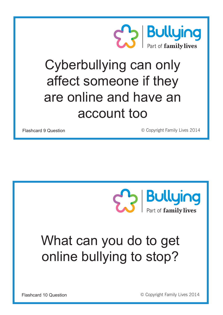

## Cyberbullying can only affect someone if they are online and have an account too

Flashcard 9 Question **Exercise 2014** C Copyright Family Lives 2014



## What can you do to get online bullying to stop?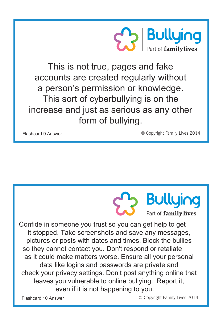

This is not true, pages and fake accounts are created regularly without a person's permission or knowledge. This sort of cyberbullying is on the increase and just as serious as any other form of bullying.

Flashcard 9 Answer © Copyright Family Lives 2014

**Bullying** Part of **family lives** 

Confide in someone you trust so you can get help to get it stopped. Take screenshots and save any messages, pictures or posts with dates and times. Block the bullies so they cannot contact you. Don't respond or retaliate as it could make matters worse. Ensure all your personal data like logins and passwords are private and check your privacy settings. Don't post anything online that leaves you vulnerable to online bullying. Report it, even if it is not happening to you.

Flashcard 10 Answer **Example 2014** C Copyright Family Lives 2014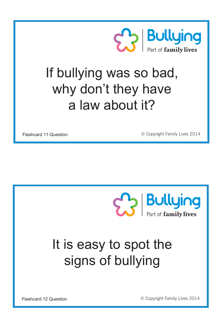

#### If bullying was so bad, why don't they have a law about it?

Flashcard 11 Question **Example 2014** C Copyright Family Lives 2014



# It is easy to spot the signs of bullying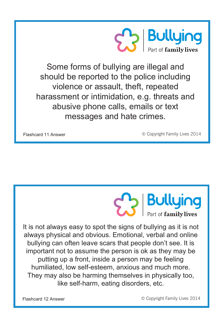

Some forms of bullying are illegal and should be reported to the police including violence or assault, theft, repeated harassment or intimidation, e.g. threats and abusive phone calls, emails or text messages and hate crimes.

Flashcard 11 Answer **Example 2014** C Copyright Family Lives 2014



It is not always easy to spot the signs of bullying as it is not always physical and obvious. Emotional, verbal and online bullying can often leave scars that people don't see. It is important not to assume the person is ok as they may be putting up a front, inside a person may be feeling humiliated, low self-esteem, anxious and much more. They may also be harming themselves in physically too, like self-harm, eating disorders, etc.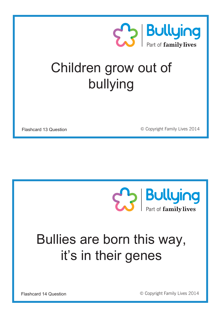

#### Children grow out of bullying

Flashcard 13 Question **Development** C Copyright Family Lives 2014



## Bullies are born this way, it's in their genes